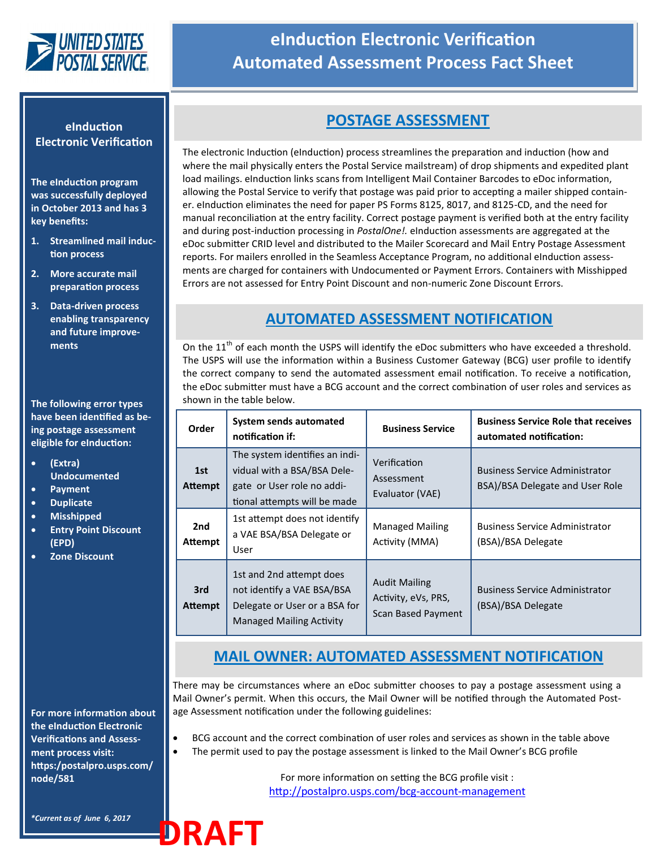

## **eInduction Electronic Verification Automated Assessment Process Fact Sheet**

#### **eInduction Electronic Verification**

**The eInduction program was successfully deployed in October 2013 and has 3 key benefits:** 

- **1. Streamlined mail induction process**
- **2. More accurate mail preparation process**
- **3. Data-driven process enabling transparency and future improvements**

**The following error types have been identified as being postage assessment eligible for eInduction:**

- **(Extra) Undocumented**
- **Payment Duplicate**
- **Misshipped**
- **Entry Point Discount (EPD)**
- **Zone Discount**

**For more information about the eInduction Electronic Verifications and Assessment process visit: https:/postalpro.usps.com/ node/581**

*\*Current as of June 6, 2017*

**DRAFT**

## **POSTAGE ASSESSMENT**

The electronic Induction (eInduction) process streamlines the preparation and induction (how and where the mail physically enters the Postal Service mailstream) of drop shipments and expedited plant load mailings. eInduction links scans from Intelligent Mail Container Barcodes to eDoc information, allowing the Postal Service to verify that postage was paid prior to accepting a mailer shipped container. eInduction eliminates the need for paper PS Forms 8125, 8017, and 8125-CD, and the need for manual reconciliation at the entry facility. Correct postage payment is verified both at the entry facility and during post-induction processing in *PostalOne!.* eInduction assessments are aggregated at the eDoc submitter CRID level and distributed to the Mailer Scorecard and Mail Entry Postage Assessment reports. For mailers enrolled in the Seamless Acceptance Program, no additional eInduction assessments are charged for containers with Undocumented or Payment Errors. Containers with Misshipped Errors are not assessed for Entry Point Discount and non-numeric Zone Discount Errors.

#### **AUTOMATED ASSESSMENT NOTIFICATION**

On the 11<sup>th</sup> of each month the USPS will identify the eDoc submitters who have exceeded a threshold. The USPS will use the information within a Business Customer Gateway (BCG) user profile to identify the correct company to send the automated assessment email notification. To receive a notification, the eDoc submitter must have a BCG account and the correct combination of user roles and services as shown in the table below.

| Order                 | System sends automated<br>notification if:                                                                                  | <b>Business Service</b>                                                  | <b>Business Service Role that receives</b><br>automated notification:    |
|-----------------------|-----------------------------------------------------------------------------------------------------------------------------|--------------------------------------------------------------------------|--------------------------------------------------------------------------|
| 1st<br><b>Attempt</b> | The system identifies an indi-<br>vidual with a BSA/BSA Dele-<br>gate or User role no addi-<br>tional attempts will be made | Verification<br>Assessment<br>Evaluator (VAE)                            | <b>Business Service Administrator</b><br>BSA)/BSA Delegate and User Role |
| 2nd<br>Attempt        | 1st attempt does not identify<br>a VAE BSA/BSA Delegate or<br>User                                                          | <b>Managed Mailing</b><br>Activity (MMA)                                 | <b>Business Service Administrator</b><br>(BSA)/BSA Delegate              |
| 3rd<br>Attempt        | 1st and 2nd attempt does<br>not identify a VAE BSA/BSA<br>Delegate or User or a BSA for<br><b>Managed Mailing Activity</b>  | <b>Audit Mailing</b><br>Activity, eVs, PRS,<br><b>Scan Based Payment</b> | <b>Business Service Administrator</b><br>(BSA)/BSA Delegate              |

### **MAIL OWNER: AUTOMATED ASSESSMENT NOTIFICATION**

There may be circumstances where an eDoc submitter chooses to pay a postage assessment using a Mail Owner's permit. When this occurs, the Mail Owner will be notified through the Automated Postage Assessment notification under the following guidelines:

- BCG account and the correct combination of user roles and services as shown in the table above
- The permit used to pay the postage assessment is linked to the Mail Owner's BCG profile

For more information on setting the BCG profile visit : [http://postalpro.usps.com/bcg](http://postalpro.usps.com/bcg-account-management)-account-management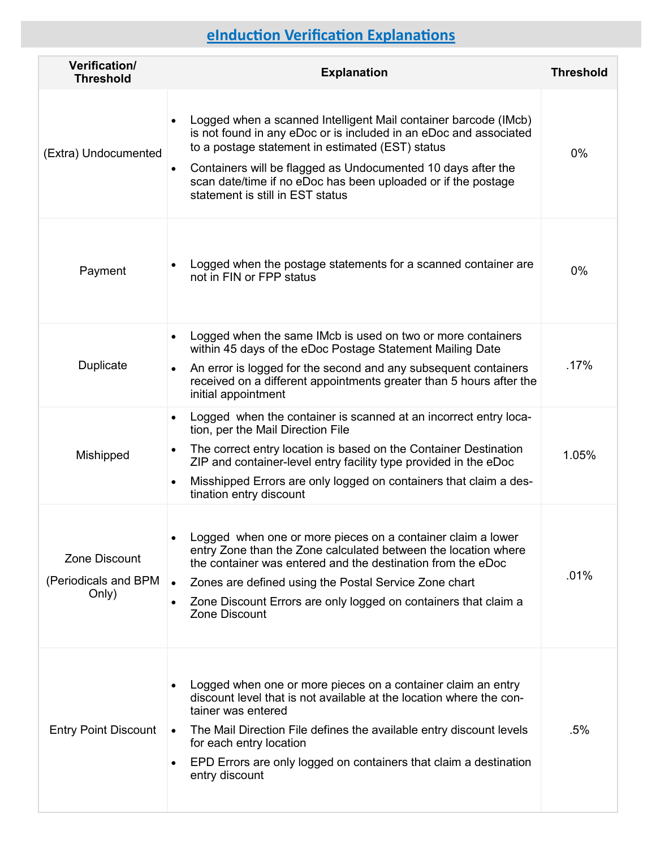# **eInduction Verification Explanations**

| Verification/<br><b>Threshold</b>              | <b>Explanation</b>                                                                                                                                                                                                                                                                                                                                                                      | <b>Threshold</b> |
|------------------------------------------------|-----------------------------------------------------------------------------------------------------------------------------------------------------------------------------------------------------------------------------------------------------------------------------------------------------------------------------------------------------------------------------------------|------------------|
| (Extra) Undocumented                           | Logged when a scanned Intelligent Mail container barcode (IMcb)<br>$\bullet$<br>is not found in any eDoc or is included in an eDoc and associated<br>to a postage statement in estimated (EST) status<br>Containers will be flagged as Undocumented 10 days after the<br>$\bullet$<br>scan date/time if no eDoc has been uploaded or if the postage<br>statement is still in EST status | 0%               |
| Payment                                        | Logged when the postage statements for a scanned container are<br>not in FIN or FPP status                                                                                                                                                                                                                                                                                              | 0%               |
| Duplicate                                      | Logged when the same IMcb is used on two or more containers<br>$\bullet$<br>within 45 days of the eDoc Postage Statement Mailing Date<br>An error is logged for the second and any subsequent containers<br>received on a different appointments greater than 5 hours after the<br>initial appointment                                                                                  | .17%             |
| Mishipped                                      | Logged when the container is scanned at an incorrect entry loca-<br>$\bullet$<br>tion, per the Mail Direction File<br>The correct entry location is based on the Container Destination<br>$\bullet$<br>ZIP and container-level entry facility type provided in the eDoc<br>Misshipped Errors are only logged on containers that claim a des-<br>$\bullet$<br>tination entry discount    | 1.05%            |
| Zone Discount<br>(Periodicals and BPM<br>Only) | Logged when one or more pieces on a container claim a lower<br>entry Zone than the Zone calculated between the location where<br>the container was entered and the destination from the eDoc<br>Zones are defined using the Postal Service Zone chart<br>$\bullet$<br>Zone Discount Errors are only logged on containers that claim a<br>Zone Discount                                  | .01%             |
| <b>Entry Point Discount</b>                    | Logged when one or more pieces on a container claim an entry<br>٠<br>discount level that is not available at the location where the con-<br>tainer was entered<br>The Mail Direction File defines the available entry discount levels<br>$\bullet$<br>for each entry location<br>EPD Errors are only logged on containers that claim a destination<br>$\bullet$<br>entry discount       | .5%              |